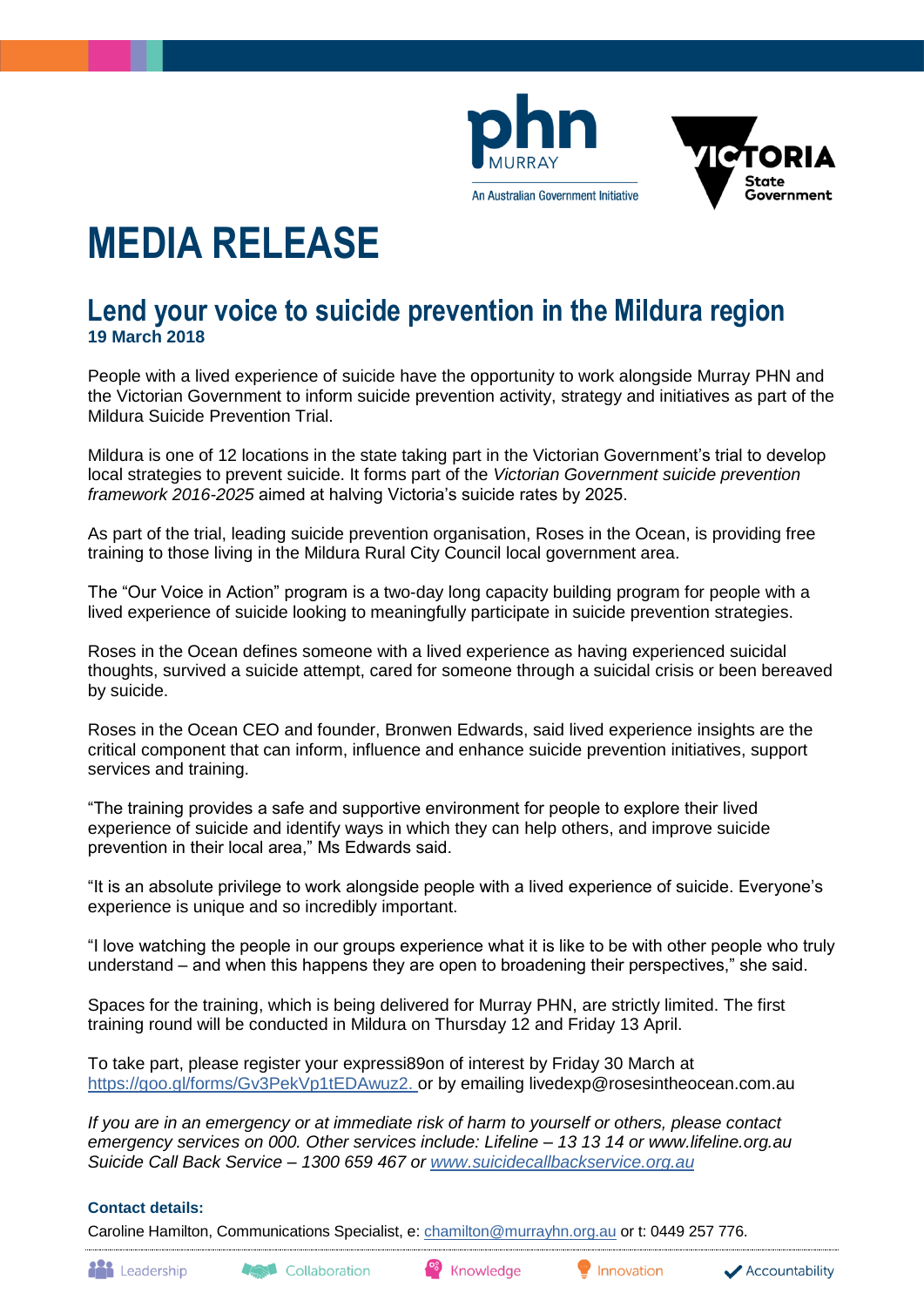



## **MEDIA RELEASE**

## **Lend your voice to suicide prevention in the Mildura region 19 March 2018**

People with a lived experience of suicide have the opportunity to work alongside Murray PHN and the Victorian Government to inform suicide prevention activity, strategy and initiatives as part of the Mildura Suicide Prevention Trial.

Mildura is one of 12 locations in the state taking part in the Victorian Government's trial to develop local strategies to prevent suicide. It forms part of the *Victorian Government suicide prevention framework 2016-2025* aimed at halving Victoria's suicide rates by 2025.

As part of the trial, leading suicide prevention organisation, Roses in the Ocean, is providing free training to those living in the Mildura Rural City Council local government area.

The "Our Voice in Action" program is a two-day long capacity building program for people with a lived experience of suicide looking to meaningfully participate in suicide prevention strategies.

Roses in the Ocean defines someone with a lived experience as having experienced suicidal thoughts, survived a suicide attempt, cared for someone through a suicidal crisis or been bereaved by suicide.

Roses in the Ocean CEO and founder, Bronwen Edwards, said lived experience insights are the critical component that can inform, influence and enhance suicide prevention initiatives, support services and training.

"The training provides a safe and supportive environment for people to explore their lived experience of suicide and identify ways in which they can help others, and improve suicide prevention in their local area," Ms Edwards said.

"It is an absolute privilege to work alongside people with a lived experience of suicide. Everyone's experience is unique and so incredibly important.

"I love watching the people in our groups experience what it is like to be with other people who truly understand – and when this happens they are open to broadening their perspectives," she said.

Spaces for the training, which is being delivered for Murray PHN, are strictly limited. The first training round will be conducted in Mildura on Thursday 12 and Friday 13 April.

To take part, please register your expressi89on of interest by Friday 30 March at [https://goo.gl/forms/Gv3PekVp1tEDAwuz2.](https://goo.gl/forms/Gv3PekVp1tEDAwuz2) or by emailing livedexp@rosesintheocean.com.au

*If you are in an emergency or at immediate risk of harm to yourself or others, please contact emergency services on 000. Other services include: Lifeline – 13 13 14 or www.lifeline.org.au Suicide Call Back Service – 1300 659 467 or [www.suicidecallbackservice.org.au](http://www.suicidecallbackservice.org.au/)*

## **Contact details:**

Caroline Hamilton, Communications Specialist, e: [chamilton@murrayhn.org.au](mailto:chamilton@murrayhn.org.au) or t: 0449 257 776.

**Collaboration** 

Innovation